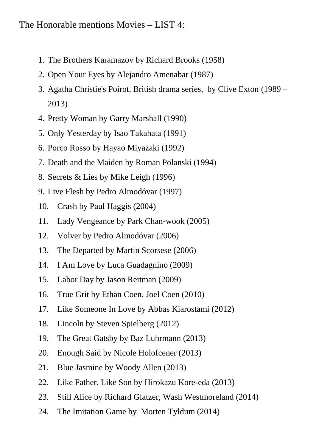## The Honorable mentions Movies – LIST 4:

- 1. The Brothers Karamazov by Richard Brooks (1958)
- 2. Open Your Eyes by Alejandro Amenabar (1987)
- 3. Agatha Christie's Poirot, British drama series, by Clive Exton (1989 2013)
- 4. Pretty Woman by Garry Marshall (1990)
- 5. Only Yesterday by Isao Takahata (1991)
- 6. Porco Rosso by Hayao Miyazaki (1992)
- 7. Death and the Maiden by Roman Polanski (1994)
- 8. Secrets & Lies by Mike Leigh (1996)
- 9. Live Flesh by Pedro Almodóvar (1997)
- 10. Crash by Paul Haggis (2004)
- 11. Lady Vengeance by Park Chan-wook (2005)
- 12. Volver by Pedro Almodóvar (2006)
- 13. The Departed by Martin Scorsese (2006)
- 14. I Am Love by Luca Guadagnino (2009)
- 15. Labor Day by Jason Reitman (2009)
- 16. True Grit by Ethan Coen, Joel Coen (2010)
- 17. Like Someone In Love by Abbas Kiarostami (2012)
- 18. Lincoln by Steven Spielberg (2012)
- 19. The Great Gatsby by Baz Luhrmann (2013)
- 20. Enough Said by Nicole Holofcener (2013)
- 21. Blue Jasmine by Woody Allen (2013)
- 22. Like Father, Like Son by Hirokazu Kore-eda (2013)
- 23. Still Alice by Richard Glatzer, Wash Westmoreland (2014)
- 24. The Imitation Game by Morten Tyldum (2014)